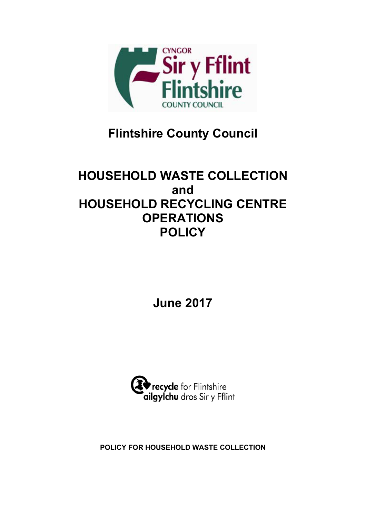

# **Flintshire County Council**

# **HOUSEHOLD WASTE COLLECTION and HOUSEHOLD RECYCLING CENTRE OPERATIONS POLICY**

**June 2017**



**POLICY FOR HOUSEHOLD WASTE COLLECTION**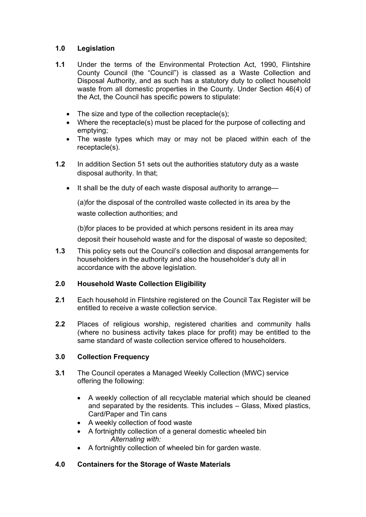# **1.0 Legislation**

- **1.1** Under the terms of the Environmental Protection Act, 1990, Flintshire County Council (the "Council") is classed as a Waste Collection and Disposal Authority, and as such has a statutory duty to collect household waste from all domestic properties in the County. Under Section 46(4) of the Act, the Council has specific powers to stipulate:
	- The size and type of the collection receptacle(s);
	- Where the receptacle(s) must be placed for the purpose of collecting and emptying;
	- The waste types which may or may not be placed within each of the receptacle(s).
- **1.2** In addition Section 51 sets out the authorities statutory duty as a waste disposal authority. In that;
	- It shall be the duty of each waste disposal authority to arrange—

(a)for the disposal of the controlled waste collected in its area by the waste collection authorities; and

(b)for places to be provided at which persons resident in its area may deposit their household waste and for the disposal of waste so deposited;

**1.3** This policy sets out the Council's collection and disposal arrangements for householders in the authority and also the householder's duty all in accordance with the above legislation.

# **2.0 Household Waste Collection Eligibility**

- **2.1** Each household in Flintshire registered on the Council Tax Register will be entitled to receive a waste collection service.
- **2.2** Places of religious worship, registered charities and community halls (where no business activity takes place for profit) may be entitled to the same standard of waste collection service offered to householders.

# **3.0 Collection Frequency**

- **3.1** The Council operates a Managed Weekly Collection (MWC) service offering the following:
	- A weekly collection of all recyclable material which should be cleaned and separated by the residents. This includes – Glass, Mixed plastics, Card/Paper and Tin cans
	- A weekly collection of food waste
	- A fortnightly collection of a general domestic wheeled bin *Alternating with:*
	- A fortnightly collection of wheeled bin for garden waste.

# **4.0 Containers for the Storage of Waste Materials**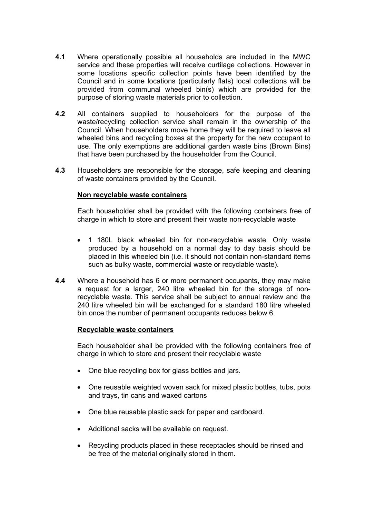- **4.1** Where operationally possible all households are included in the MWC service and these properties will receive curtilage collections. However in some locations specific collection points have been identified by the Council and in some locations (particularly flats) local collections will be provided from communal wheeled bin(s) which are provided for the purpose of storing waste materials prior to collection.
- **4.2** All containers supplied to householders for the purpose of the waste/recycling collection service shall remain in the ownership of the Council. When householders move home they will be required to leave all wheeled bins and recycling boxes at the property for the new occupant to use. The only exemptions are additional garden waste bins (Brown Bins) that have been purchased by the householder from the Council.
- **4.3** Householders are responsible for the storage, safe keeping and cleaning of waste containers provided by the Council.

#### **Non recyclable waste containers**

Each householder shall be provided with the following containers free of charge in which to store and present their waste non-recyclable waste

- 1 180L black wheeled bin for non-recyclable waste. Only waste produced by a household on a normal day to day basis should be placed in this wheeled bin (i.e. it should not contain non-standard items such as bulky waste, commercial waste or recyclable waste).
- **4.4** Where a household has 6 or more permanent occupants, they may make a request for a larger, 240 litre wheeled bin for the storage of nonrecyclable waste. This service shall be subject to annual review and the 240 litre wheeled bin will be exchanged for a standard 180 litre wheeled bin once the number of permanent occupants reduces below 6.

#### **Recyclable waste containers**

Each householder shall be provided with the following containers free of charge in which to store and present their recyclable waste

- One blue recycling box for glass bottles and jars.
- One reusable weighted woven sack for mixed plastic bottles, tubs, pots and trays, tin cans and waxed cartons
- One blue reusable plastic sack for paper and cardboard.
- Additional sacks will be available on request.
- Recycling products placed in these receptacles should be rinsed and be free of the material originally stored in them.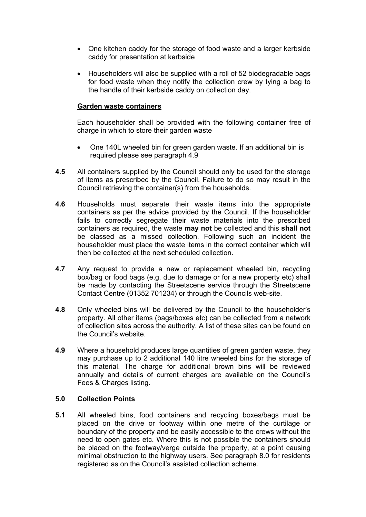- One kitchen caddy for the storage of food waste and a larger kerbside caddy for presentation at kerbside
- Householders will also be supplied with a roll of 52 biodegradable bags for food waste when they notify the collection crew by tying a bag to the handle of their kerbside caddy on collection day.

#### **Garden waste containers**

Each householder shall be provided with the following container free of charge in which to store their garden waste

- One 140L wheeled bin for green garden waste. If an additional bin is required please see paragraph 4.9
- **4.5** All containers supplied by the Council should only be used for the storage of items as prescribed by the Council. Failure to do so may result in the Council retrieving the container(s) from the households.
- **4.6** Households must separate their waste items into the appropriate containers as per the advice provided by the Council. If the householder fails to correctly segregate their waste materials into the prescribed containers as required, the waste **may not** be collected and this **shall not** be classed as a missed collection. Following such an incident the householder must place the waste items in the correct container which will then be collected at the next scheduled collection.
- **4.7** Any request to provide a new or replacement wheeled bin, recycling box/bag or food bags (e.g. due to damage or for a new property etc) shall be made by contacting the Streetscene service through the Streetscene Contact Centre (01352 701234) or through the Councils web-site.
- **4.8** Only wheeled bins will be delivered by the Council to the householder's property. All other items (bags/boxes etc) can be collected from a network of collection sites across the authority. A list of these sites can be found on the Council's website.
- **4.9** Where a household produces large quantities of green garden waste, they may purchase up to 2 additional 140 litre wheeled bins for the storage of this material. The charge for additional brown bins will be reviewed annually and details of current charges are available on the Council's Fees & Charges listing.

#### **5.0 Collection Points**

**5.1** All wheeled bins, food containers and recycling boxes/bags must be placed on the drive or footway within one metre of the curtilage or boundary of the property and be easily accessible to the crews without the need to open gates etc. Where this is not possible the containers should be placed on the footway/verge outside the property, at a point causing minimal obstruction to the highway users. See paragraph 8.0 for residents registered as on the Council's assisted collection scheme.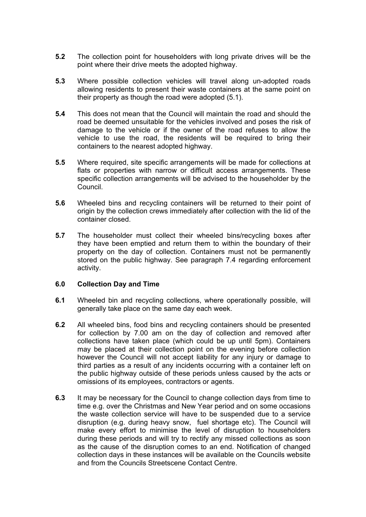- **5.2** The collection point for householders with long private drives will be the point where their drive meets the adopted highway.
- **5.3** Where possible collection vehicles will travel along un-adopted roads allowing residents to present their waste containers at the same point on their property as though the road were adopted (5.1).
- **5.4** This does not mean that the Council will maintain the road and should the road be deemed unsuitable for the vehicles involved and poses the risk of damage to the vehicle or if the owner of the road refuses to allow the vehicle to use the road, the residents will be required to bring their containers to the nearest adopted highway.
- **5.5** Where required, site specific arrangements will be made for collections at flats or properties with narrow or difficult access arrangements. These specific collection arrangements will be advised to the householder by the Council.
- **5.6** Wheeled bins and recycling containers will be returned to their point of origin by the collection crews immediately after collection with the lid of the container closed.
- **5.7** The householder must collect their wheeled bins/recycling boxes after they have been emptied and return them to within the boundary of their property on the day of collection. Containers must not be permanently stored on the public highway. See paragraph 7.4 regarding enforcement activity.

#### **6.0 Collection Day and Time**

- **6.1** Wheeled bin and recycling collections, where operationally possible, will generally take place on the same day each week.
- **6.2** All wheeled bins, food bins and recycling containers should be presented for collection by 7.00 am on the day of collection and removed after collections have taken place (which could be up until 5pm). Containers may be placed at their collection point on the evening before collection however the Council will not accept liability for any injury or damage to third parties as a result of any incidents occurring with a container left on the public highway outside of these periods unless caused by the acts or omissions of its employees, contractors or agents.
- **6.3** It may be necessary for the Council to change collection days from time to time e.g. over the Christmas and New Year period and on some occasions the waste collection service will have to be suspended due to a service disruption (e.g. during heavy snow, fuel shortage etc). The Council will make every effort to minimise the level of disruption to householders during these periods and will try to rectify any missed collections as soon as the cause of the disruption comes to an end. Notification of changed collection days in these instances will be available on the Councils website and from the Councils Streetscene Contact Centre.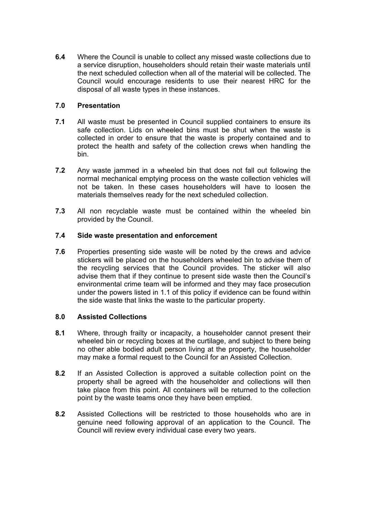**6.4** Where the Council is unable to collect any missed waste collections due to a service disruption, householders should retain their waste materials until the next scheduled collection when all of the material will be collected. The Council would encourage residents to use their nearest HRC for the disposal of all waste types in these instances.

# **7.0 Presentation**

- **7.1** All waste must be presented in Council supplied containers to ensure its safe collection. Lids on wheeled bins must be shut when the waste is collected in order to ensure that the waste is properly contained and to protect the health and safety of the collection crews when handling the bin.
- **7.2** Any waste jammed in a wheeled bin that does not fall out following the normal mechanical emptying process on the waste collection vehicles will not be taken. In these cases householders will have to loosen the materials themselves ready for the next scheduled collection.
- **7.3** All non recyclable waste must be contained within the wheeled bin provided by the Council.

### **7.4 Side waste presentation and enforcement**

**7.6** Properties presenting side waste will be noted by the crews and advice stickers will be placed on the householders wheeled bin to advise them of the recycling services that the Council provides. The sticker will also advise them that if they continue to present side waste then the Council's environmental crime team will be informed and they may face prosecution under the powers listed in 1.1 of this policy if evidence can be found within the side waste that links the waste to the particular property.

#### **8.0 Assisted Collections**

- **8.1** Where, through frailty or incapacity, a householder cannot present their wheeled bin or recycling boxes at the curtilage, and subject to there being no other able bodied adult person living at the property, the householder may make a formal request to the Council for an Assisted Collection.
- **8.2** If an Assisted Collection is approved a suitable collection point on the property shall be agreed with the householder and collections will then take place from this point. All containers will be returned to the collection point by the waste teams once they have been emptied.
- **8.2** Assisted Collections will be restricted to those households who are in genuine need following approval of an application to the Council. The Council will review every individual case every two years.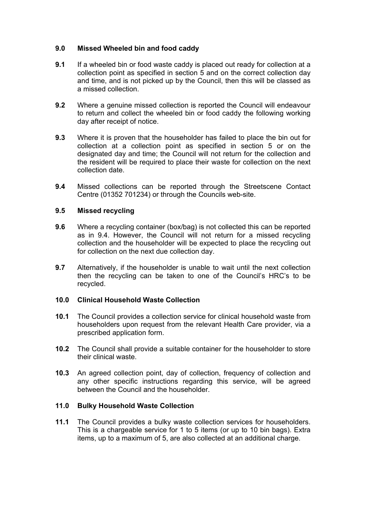### **9.0 Missed Wheeled bin and food caddy**

- **9.1** If a wheeled bin or food waste caddy is placed out ready for collection at a collection point as specified in section 5 and on the correct collection day and time, and is not picked up by the Council, then this will be classed as a missed collection.
- **9.2** Where a genuine missed collection is reported the Council will endeavour to return and collect the wheeled bin or food caddy the following working day after receipt of notice.
- **9.3** Where it is proven that the householder has failed to place the bin out for collection at a collection point as specified in section 5 or on the designated day and time; the Council will not return for the collection and the resident will be required to place their waste for collection on the next collection date.
- **9.4** Missed collections can be reported through the Streetscene Contact Centre (01352 701234) or through the Councils web-site.

### **9.5 Missed recycling**

- **9.6** Where a recycling container (box/bag) is not collected this can be reported as in 9.4. However, the Council will not return for a missed recycling collection and the householder will be expected to place the recycling out for collection on the next due collection day.
- **9.7** Alternatively, if the householder is unable to wait until the next collection then the recycling can be taken to one of the Council's HRC's to be recycled.

#### **10.0 Clinical Household Waste Collection**

- **10.1** The Council provides a collection service for clinical household waste from householders upon request from the relevant Health Care provider, via a prescribed application form.
- **10.2** The Council shall provide a suitable container for the householder to store their clinical waste.
- **10.3** An agreed collection point, day of collection, frequency of collection and any other specific instructions regarding this service, will be agreed between the Council and the householder.

#### **11.0 Bulky Household Waste Collection**

**11.1** The Council provides a bulky waste collection services for householders. This is a chargeable service for 1 to 5 items (or up to 10 bin bags). Extra items, up to a maximum of 5, are also collected at an additional charge.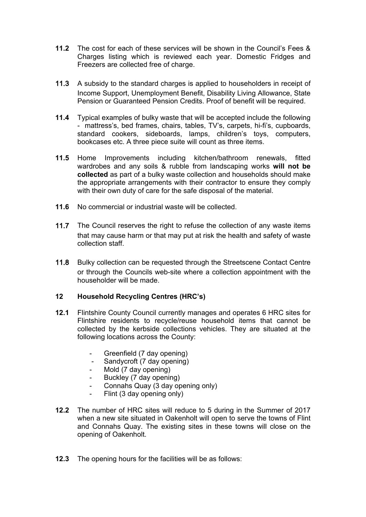- **11.2** The cost for each of these services will be shown in the Council's Fees & Charges listing which is reviewed each year. Domestic Fridges and Freezers are collected free of charge.
- **11.3** A subsidy to the standard charges is applied to householders in receipt of Income Support, Unemployment Benefit, Disability Living Allowance, State Pension or Guaranteed Pension Credits. Proof of benefit will be required.
- **11.4** Typical examples of bulky waste that will be accepted include the following - mattress's, bed frames, chairs, tables, TV's, carpets, hi-fi's, cupboards, standard cookers, sideboards, lamps, children's toys, computers, bookcases etc. A three piece suite will count as three items.
- **11.5** Home Improvements including kitchen/bathroom renewals, fitted wardrobes and any soils & rubble from landscaping works **will not be collected** as part of a bulky waste collection and households should make the appropriate arrangements with their contractor to ensure they comply with their own duty of care for the safe disposal of the material.
- **11.6** No commercial or industrial waste will be collected.
- **11.7** The Council reserves the right to refuse the collection of any waste items that may cause harm or that may put at risk the health and safety of waste collection staff.
- **11.8** Bulky collection can be requested through the Streetscene Contact Centre or through the Councils web-site where a collection appointment with the householder will be made.

# **12 Household Recycling Centres (HRC's)**

- **12.1** Flintshire County Council currently manages and operates 6 HRC sites for Flintshire residents to recycle/reuse household items that cannot be collected by the kerbside collections vehicles. They are situated at the following locations across the County:
	- Greenfield (7 day opening)
	- Sandycroft (7 day opening)
	- Mold (7 day opening)
	- Buckley (7 day opening)
	- Connahs Quay (3 day opening only)
	- Flint (3 day opening only)
- **12.2** The number of HRC sites will reduce to 5 during in the Summer of 2017 when a new site situated in Oakenholt will open to serve the towns of Flint and Connahs Quay. The existing sites in these towns will close on the opening of Oakenholt.
- **12.3** The opening hours for the facilities will be as follows: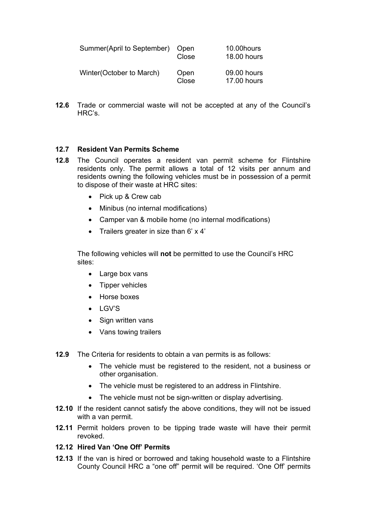| Summer(April to September) | Open<br>Close | 10.00 hours<br>18.00 hours        |
|----------------------------|---------------|-----------------------------------|
| Winter(October to March)   | Open<br>Close | 09.00 hours<br><b>17.00 hours</b> |

**12.6** Trade or commercial waste will not be accepted at any of the Council's HRC's.

# **12.7 Resident Van Permits Scheme**

- **12.8** The Council operates a resident van permit scheme for Flintshire residents only. The permit allows a total of 12 visits per annum and residents owning the following vehicles must be in possession of a permit to dispose of their waste at HRC sites:
	- Pick up & Crew cab
	- Minibus (no internal modifications)
	- Camper van & mobile home (no internal modifications)
	- Trailers greater in size than  $6' \times 4'$

The following vehicles will **not** be permitted to use the Council's HRC sites:

- Large box vans
- Tipper vehicles
- Horse boxes
- $\bullet$  LGV'S
- Sign written vans
- Vans towing trailers
- **12.9** The Criteria for residents to obtain a van permits is as follows:
	- The vehicle must be registered to the resident, not a business or other organisation.
	- The vehicle must be registered to an address in Flintshire.
	- The vehicle must not be sign-written or display advertising.
- **12.10** If the resident cannot satisfy the above conditions, they will not be issued with a van permit.
- **12.11** Permit holders proven to be tipping trade waste will have their permit revoked.

### **12.12 Hired Van 'One Off' Permits**

**12.13** If the van is hired or borrowed and taking household waste to a Flintshire County Council HRC a "one off" permit will be required. 'One Off' permits